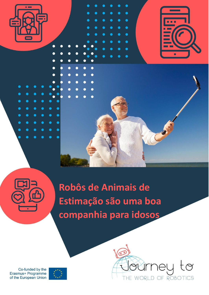

 $\bullet$ 

 $\bullet$ 





**Robôs de Animais de Estimação são uma boa companhia para idosos**

Co-funded by the Erasmus+ Programme of the European Union



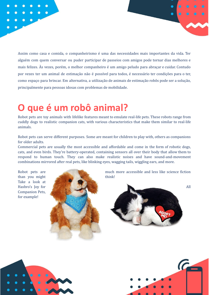Assim como casa e comida, o companheirismo é uma das necessidades mais importantes da vida. Ter alguém com quem conversar ou puder participar de passeios com amigos pode tornar dias melhores e mais felizes. Às vezes, porém, o melhor companheiro é um amigo peludo para abraçar e cuidar. Contudo por vezes ter um animal de estimação não é possível para todos, é necessário ter condições para o ter, como espaço para brincar. Em alternativa, a utilização de animais de estimação robôs pode ser a solução, principalmente para pessoas idosas com problemas de mobilidade.

## **O que é um robô animal?**

Robot pets are toy animals with lifelike features meant to emulate real-life pets. These robots range from cuddly dogs to realistic companion cats, with various characteristics that make them similar to real-life animals.

Robot pets can serve different purposes. Some are meant for children to play with, others as companions for older adults.

Commercial pets are usually the most accessible and affordable and come in the form of robotic dogs, cats, and even birds. They're battery-operated, containing sensors all over their body that allow them to respond to human touch. They can also make realistic noises and have sound-and-movement combinations mirrored after real pets, like blinking eyes, wagging tails, wiggling ears, and more.

Take a look at Companion Pets, for example!



Robot pets are much more accessible and less like science fiction





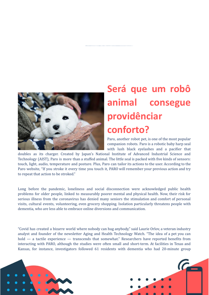

## **Será que um robô animal consegue providênciar conforto?**

Paro, another robot pet, is one of the most popular companion robots. Paro is a robotic baby harp seal with lush black eyelashes and a pacifier that

doubles as its charger. Created by Japan's National Institute of Advanced Industrial Science and Technology (AIST), Paro is more than a stuffed animal. The little seal is packed with five kinds of sensors: touch, light, audio, temperature and posture. Plus, Paro can tailor its actions to the user. According to the Paro website, "If you stroke it every time you touch it, PARO will remember your previous action and try to repeat that action to be stroked."

Long before the pandemic, loneliness and social disconnection were acknowledged public health problems for older people, linked to measurably poorer mental and physical health. Now, their risk for serious illness from the coronavirus has denied many seniors the stimulation and comfort of personal visits, cultural events, volunteering, even grocery shopping. Isolation particularly threatens people with dementia, who are less able to embrace online diversions and communication.

"Covid has created a bizarre world where nobody can hug anybody," said Laurie Orlov, a veteran industry analyst and founder of the newsletter Aging and Health Technology Watch. "The idea of a pet you can hold — a tactile experience — transcends that somewhat." Researchers have reported benefits from interacting with PARO, although the studies were often small and short-term. At facilities in Texas and Kansas, for instance, investigators followed 61 residents with dementia who had 20-minute group



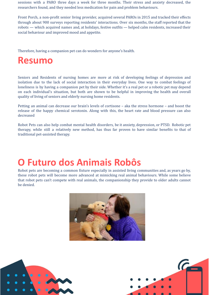sessions with a PARO three days a week for three months. Their stress and anxiety decreased, the researchers found, and they needed less medication for pain and problem behaviours.

Front Porch, a non-profit senior living provider, acquired several PAROs in 2015 and tracked their effects through about 900 surveys reporting residents' interactions. Over six months, the staff reported that the robots — which acquired names and, at holidays, festive outfits — helped calm residents, increased their social behaviour and improved mood and appetite.

Therefore, having a companion pet can do wonders for anyone's health.

## **Resumo**

Seniors and Residents of nursing homes are more at risk of developing feelings of depression and isolation due to the lack of social interaction in their everyday lives. One way to combat feelings of loneliness is by having a companion pet by their side. Whether it's a real pet or a robotic pet may depend on each individual's situation, but both are shown to be helpful in improving the health and overall quality of living of seniors and elderly nursing home residents.

Petting an animal can decrease our brain's levels of cortisone – aka the stress hormone – and boost the release of the happy chemical serotonin. Along with this, the heart rate and blood pressure can also decreased

Robot Pets can also help combat mental health disorders, be it anxiety, depression, or PTSD. Robotic pet therapy, while still a relatively new method, has thus far proven to have similar benefits to that of traditional pet-assisted therapy.

## **O Futuro dos Animais Robôs**

Robot pets are becoming a common fixture especially in assisted living communities and, as years go by, these robot pets will become more advanced at mimicking real animal behaviours. While some believe that robot pets can't compete with real animals, the companionship they provide to older adults cannot be denied.